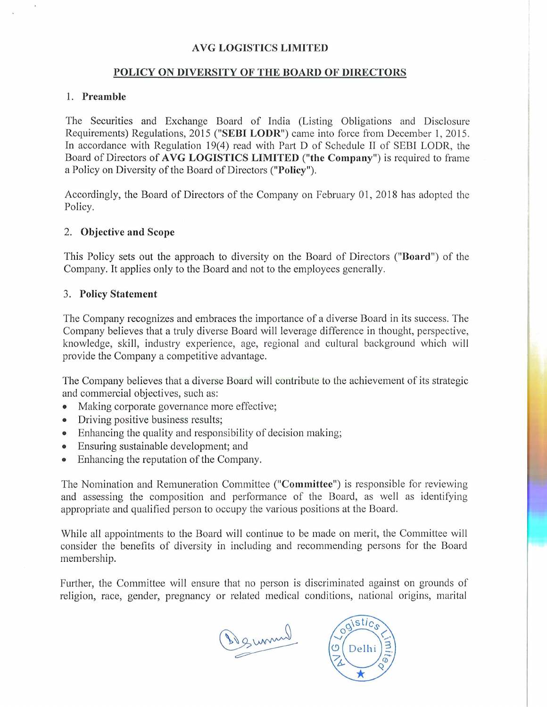## AVG LOGISTICS LIMITED

## POLICY ON DIVERSITY OF THE BOARD OF DIRECTORS

#### 1. Preamble

The Securities and Exchange Board of India (Listing Obligations and Disclosure Requirements) Regulations, 2015 ("SEBI LODR") came into force from December 1, 2015. In accordance with Regulation 19(4) read with Part D of Schedule II of SEBI LODR, the Board of Directors of AVG LOGISTICS LIMITED ("the Company") is required to frame a Policy on Diversity of the Board of Directors ("Policy").

Accordingly, the Board of Directors of the Company on February 01, 2018 has adopted the Policy.

## 2. Objective and Scope

This Policy sets out the approach to diversity on the Board of Directors ("Board") of the Company. It applies only to the Board and not to the employees generally.

### 3. Policy Statement

The Company recognizes and embraces the importance of a diverse Board in its success. The Company believes that a truly diverse Board will leverage difference in thought, perspective, knowledge, skill, industry experience, age, regional and cultural background which will provide the Company a competitive advantage.

The Company believes that a diverse Board will contribute to the achievement of its strategic and commercial objectives, such as:

- Making corporate governance more effective;
- Driving positive business results;
- Enhancing the quality and responsibility of decision making;
- Ensuring sustainable development; and
- Enhancing the reputation of the Company.

The Nomination and Remuneration Committee ("Committee") is responsible for reviewing and assessing the composition and performance of the Board, as well as identifying appropriate and qualified person to occupy the various positions at the Board.

While all appointments to the Board will continue to be made on merit, the Committee will consider the benefits of diversity in including and recommending persons for the Board membership.

Further, the Committee will ensure that no person is discriminated against on grounds of religion, race, gender, pregnancy or related medical conditions, national origins, marital

Deumal